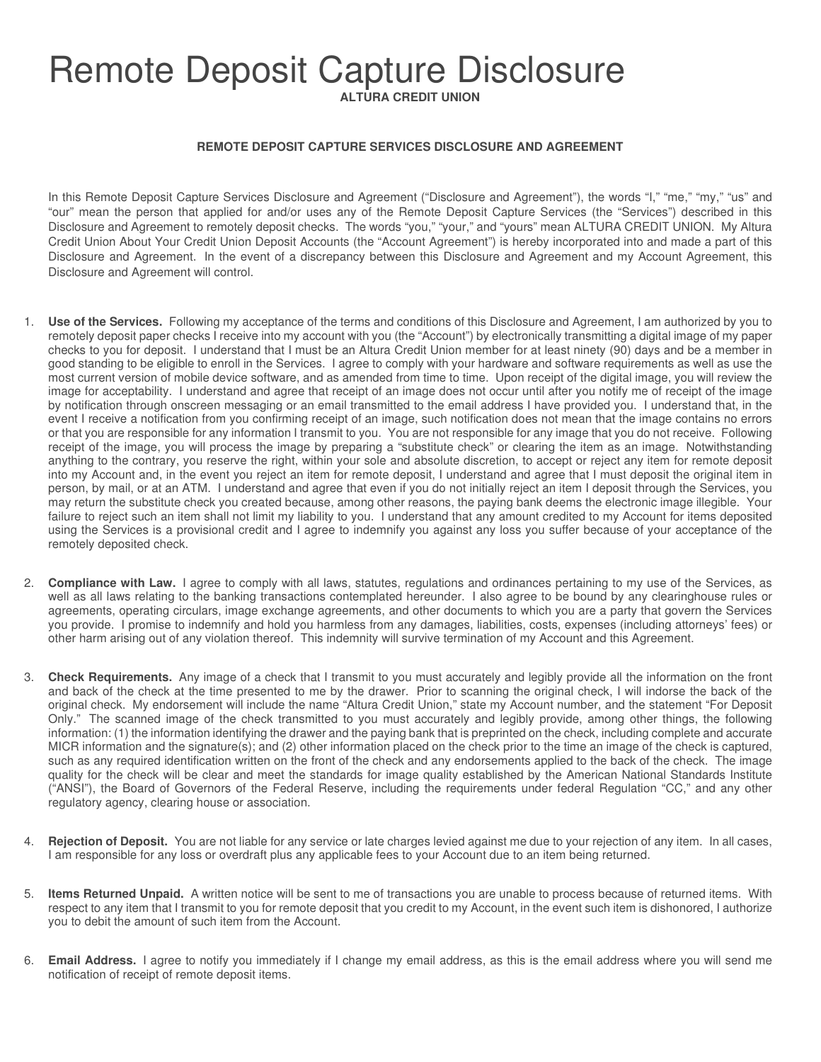## Remote Deposit Capture Disclosure

**ALTURA CREDIT UNION**

## **REMOTE DEPOSIT CAPTURE SERVICES DISCLOSURE AND AGREEMENT**

In this Remote Deposit Capture Services Disclosure and Agreement ("Disclosure and Agreement"), the words "I," "me," "my," "us" and "our" mean the person that applied for and/or uses any of the Remote Deposit Capture Services (the "Services") described in this Disclosure and Agreement to remotely deposit checks. The words "you," "your," and "yours" mean ALTURA CREDIT UNION. My Altura Credit Union About Your Credit Union Deposit Accounts (the "Account Agreement") is hereby incorporated into and made a part of this Disclosure and Agreement. In the event of a discrepancy between this Disclosure and Agreement and my Account Agreement, this Disclosure and Agreement will control.

- 1. **Use of the Services.** Following my acceptance of the terms and conditions of this Disclosure and Agreement, I am authorized by you to remotely deposit paper checks I receive into my account with you (the "Account") by electronically transmitting a digital image of my paper checks to you for deposit. I understand that I must be an Altura Credit Union member for at least ninety (90) days and be a member in good standing to be eligible to enroll in the Services. I agree to comply with your hardware and software requirements as well as use the most current version of mobile device software, and as amended from time to time. Upon receipt of the digital image, you will review the image for acceptability. I understand and agree that receipt of an image does not occur until after you notify me of receipt of the image by notification through onscreen messaging or an email transmitted to the email address I have provided you. I understand that, in the event I receive a notification from you confirming receipt of an image, such notification does not mean that the image contains no errors or that you are responsible for any information I transmit to you. You are not responsible for any image that you do not receive. Following receipt of the image, you will process the image by preparing a "substitute check" or clearing the item as an image. Notwithstanding anything to the contrary, you reserve the right, within your sole and absolute discretion, to accept or reject any item for remote deposit into my Account and, in the event you reject an item for remote deposit, I understand and agree that I must deposit the original item in person, by mail, or at an ATM. I understand and agree that even if you do not initially reject an item I deposit through the Services, you may return the substitute check you created because, among other reasons, the paying bank deems the electronic image illegible. Your failure to reject such an item shall not limit my liability to you. I understand that any amount credited to my Account for items deposited using the Services is a provisional credit and I agree to indemnify you against any loss you suffer because of your acceptance of the remotely deposited check.
- 2. **Compliance with Law.** I agree to comply with all laws, statutes, regulations and ordinances pertaining to my use of the Services, as well as all laws relating to the banking transactions contemplated hereunder. I also agree to be bound by any clearinghouse rules or agreements, operating circulars, image exchange agreements, and other documents to which you are a party that govern the Services you provide. I promise to indemnify and hold you harmless from any damages, liabilities, costs, expenses (including attorneys' fees) or other harm arising out of any violation thereof. This indemnity will survive termination of my Account and this Agreement.
- 3. **Check Requirements.** Any image of a check that I transmit to you must accurately and legibly provide all the information on the front and back of the check at the time presented to me by the drawer. Prior to scanning the original check, I will indorse the back of the original check. My endorsement will include the name "Altura Credit Union," state my Account number, and the statement "For Deposit Only." The scanned image of the check transmitted to you must accurately and legibly provide, among other things, the following information: (1) the information identifying the drawer and the paying bank that is preprinted on the check, including complete and accurate MICR information and the signature(s); and (2) other information placed on the check prior to the time an image of the check is captured, such as any required identification written on the front of the check and any endorsements applied to the back of the check. The image quality for the check will be clear and meet the standards for image quality established by the American National Standards Institute ("ANSI"), the Board of Governors of the Federal Reserve, including the requirements under federal Regulation "CC," and any other regulatory agency, clearing house or association.
- 4. **Rejection of Deposit.** You are not liable for any service or late charges levied against me due to your rejection of any item. In all cases, I am responsible for any loss or overdraft plus any applicable fees to your Account due to an item being returned.
- 5. **Items Returned Unpaid.** A written notice will be sent to me of transactions you are unable to process because of returned items. With respect to any item that I transmit to you for remote deposit that you credit to my Account, in the event such item is dishonored, I authorize you to debit the amount of such item from the Account.
- 6. **Email Address.** I agree to notify you immediately if I change my email address, as this is the email address where you will send me notification of receipt of remote deposit items.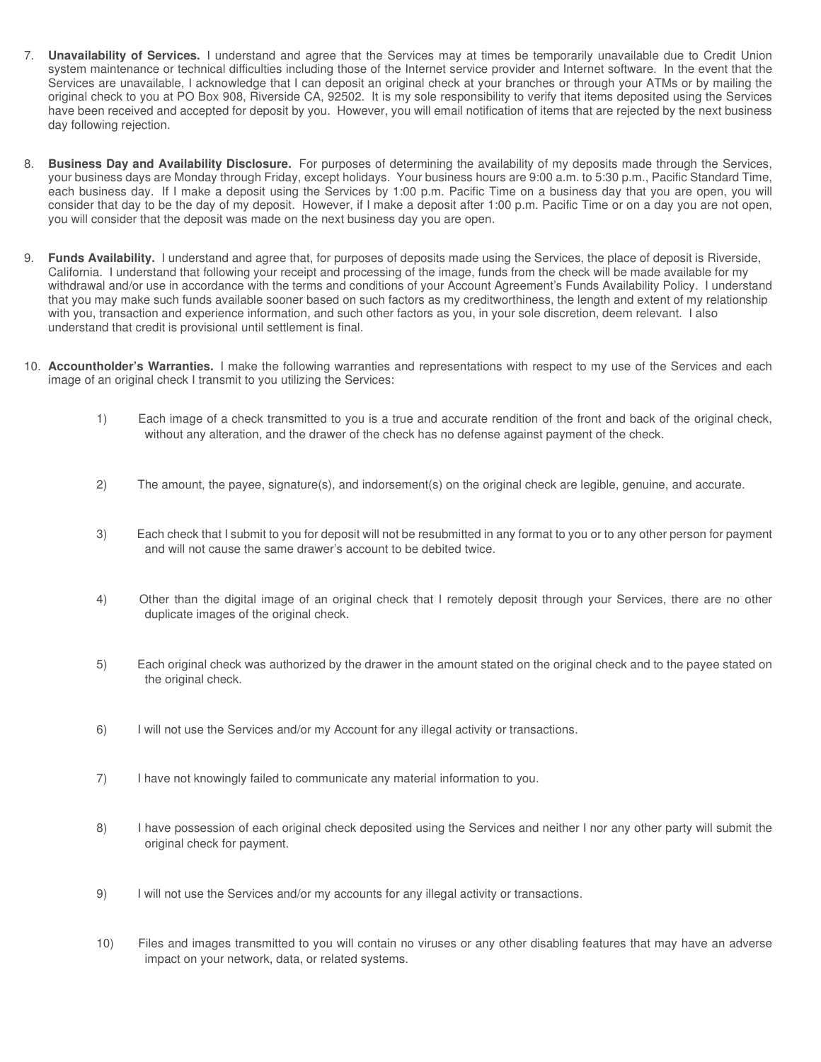- 7. **Unavailability of Services.** I understand and agree that the Services may at times be temporarily unavailable due to Credit Union system maintenance or technical difficulties including those of the Internet service provider and Internet software. In the event that the Services are unavailable, I acknowledge that I can deposit an original check at your branches or through your ATMs or by mailing the original check to you at PO Box 908, Riverside CA, 92502. It is my sole responsibility to verify that items deposited using the Services have been received and accepted for deposit by you. However, you will email notification of items that are rejected by the next business day following rejection.
- 8. **Business Day and Availability Disclosure.** For purposes of determining the availability of my deposits made through the Services, your business days are Monday through Friday, except holidays. Your business hours are 9:00 a.m. to 5:30 p.m., Pacific Standard Time, each business day. If I make a deposit using the Services by 1:00 p.m. Pacific Time on a business day that you are open, you will consider that day to be the day of my deposit. However, if I make a deposit after 1:00 p.m. Pacific Time or on a day you are not open, you will consider that the deposit was made on the next business day you are open.
- 9. **Funds Availability.** I understand and agree that, for purposes of deposits made using the Services, the place of deposit is Riverside, California. I understand that following your receipt and processing of the image, funds from the check will be made available for my withdrawal and/or use in accordance with the terms and conditions of your Account Agreement's Funds Availability Policy. I understand that you may make such funds available sooner based on such factors as my creditworthiness, the length and extent of my relationship with you, transaction and experience information, and such other factors as you, in your sole discretion, deem relevant. I also understand that credit is provisional until settlement is final.
- 10. **Accountholder's Warranties.** I make the following warranties and representations with respect to my use of the Services and each image of an original check I transmit to you utilizing the Services:
	- 1) Each image of a check transmitted to you is a true and accurate rendition of the front and back of the original check, without any alteration, and the drawer of the check has no defense against payment of the check.
	- 2) The amount, the payee, signature(s), and indorsement(s) on the original check are legible, genuine, and accurate.
	- 3) Each check that I submit to you for deposit will not be resubmitted in any format to you or to any other person for payment and will not cause the same drawer's account to be debited twice.
	- 4) Other than the digital image of an original check that I remotely deposit through your Services, there are no other duplicate images of the original check.
	- 5) Each original check was authorized by the drawer in the amount stated on the original check and to the payee stated on the original check.
	- 6) I will not use the Services and/or my Account for any illegal activity or transactions.
	- 7) I have not knowingly failed to communicate any material information to you.
	- 8) I have possession of each original check deposited using the Services and neither I nor any other party will submit the original check for payment.
	- 9) I will not use the Services and/or my accounts for any illegal activity or transactions.
	- 10) Files and images transmitted to you will contain no viruses or any other disabling features that may have an adverse impact on your network, data, or related systems.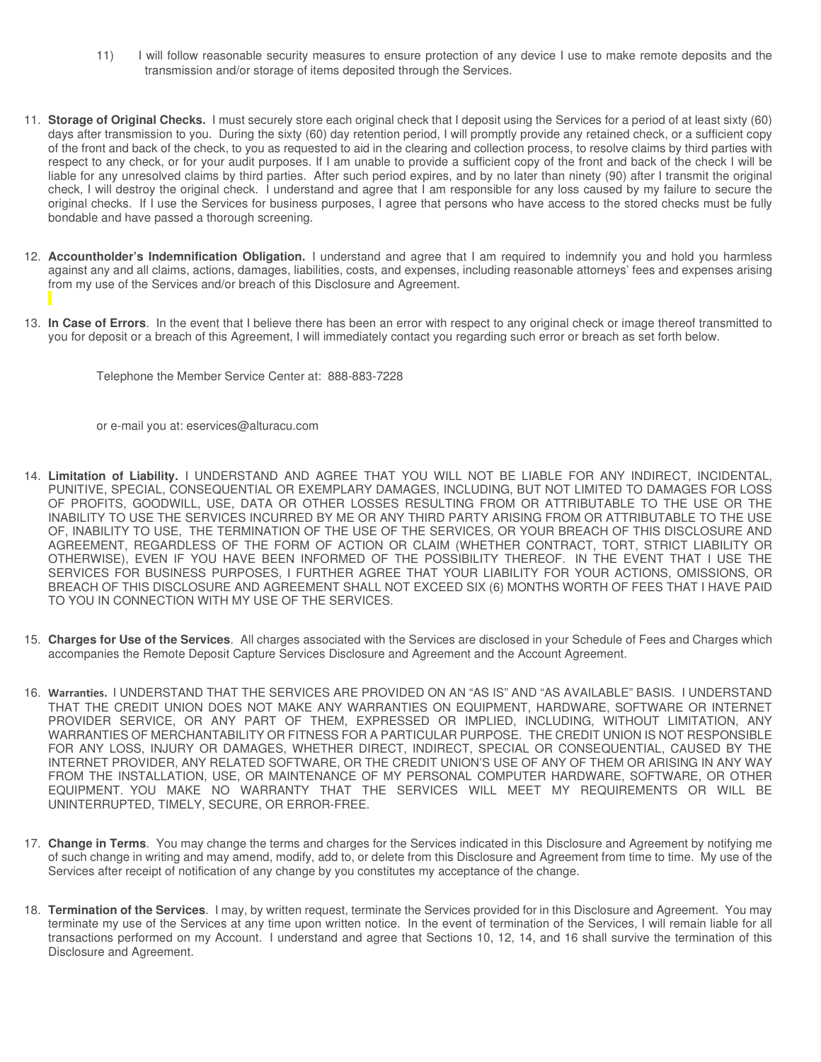- 11) I will follow reasonable security measures to ensure protection of any device I use to make remote deposits and the transmission and/or storage of items deposited through the Services.
- 11. **Storage of Original Checks.** I must securely store each original check that I deposit using the Services for a period of at least sixty (60) days after transmission to you. During the sixty (60) day retention period, I will promptly provide any retained check, or a sufficient copy of the front and back of the check, to you as requested to aid in the clearing and collection process, to resolve claims by third parties with respect to any check, or for your audit purposes. If I am unable to provide a sufficient copy of the front and back of the check I will be liable for any unresolved claims by third parties. After such period expires, and by no later than ninety (90) after I transmit the original check, I will destroy the original check. I understand and agree that I am responsible for any loss caused by my failure to secure the original checks. If I use the Services for business purposes, I agree that persons who have access to the stored checks must be fully bondable and have passed a thorough screening.
- 12. **Accountholder's Indemnification Obligation.** I understand and agree that I am required to indemnify you and hold you harmless against any and all claims, actions, damages, liabilities, costs, and expenses, including reasonable attorneys' fees and expenses arising from my use of the Services and/or breach of this Disclosure and Agreement.
- 13. **In Case of Errors**. In the event that I believe there has been an error with respect to any original check or image thereof transmitted to you for deposit or a breach of this Agreement, I will immediately contact you regarding such error or breach as set forth below.
	- Telephone the Member Service Center at: 888-883-7228
	- or e-mail you at: eservices@alturacu.com
- 14. **Limitation of Liability.** I UNDERSTAND AND AGREE THAT YOU WILL NOT BE LIABLE FOR ANY INDIRECT, INCIDENTAL, PUNITIVE, SPECIAL, CONSEQUENTIAL OR EXEMPLARY DAMAGES, INCLUDING, BUT NOT LIMITED TO DAMAGES FOR LOSS OF PROFITS, GOODWILL, USE, DATA OR OTHER LOSSES RESULTING FROM OR ATTRIBUTABLE TO THE USE OR THE INABILITY TO USE THE SERVICES INCURRED BY ME OR ANY THIRD PARTY ARISING FROM OR ATTRIBUTABLE TO THE USE OF, INABILITY TO USE, THE TERMINATION OF THE USE OF THE SERVICES, OR YOUR BREACH OF THIS DISCLOSURE AND AGREEMENT, REGARDLESS OF THE FORM OF ACTION OR CLAIM (WHETHER CONTRACT, TORT, STRICT LIABILITY OR OTHERWISE), EVEN IF YOU HAVE BEEN INFORMED OF THE POSSIBILITY THEREOF. IN THE EVENT THAT I USE THE SERVICES FOR BUSINESS PURPOSES, I FURTHER AGREE THAT YOUR LIABILITY FOR YOUR ACTIONS, OMISSIONS, OR BREACH OF THIS DISCLOSURE AND AGREEMENT SHALL NOT EXCEED SIX (6) MONTHS WORTH OF FEES THAT I HAVE PAID TO YOU IN CONNECTION WITH MY USE OF THE SERVICES.
- 15. **Charges for Use of the Services**. All charges associated with the Services are disclosed in your Schedule of Fees and Charges which accompanies the Remote Deposit Capture Services Disclosure and Agreement and the Account Agreement.
- 16. Warranties. I UNDERSTAND THAT THE SERVICES ARE PROVIDED ON AN "AS IS" AND "AS AVAILABLE" BASIS. I UNDERSTAND THAT THE CREDIT UNION DOES NOT MAKE ANY WARRANTIES ON EQUIPMENT, HARDWARE, SOFTWARE OR INTERNET PROVIDER SERVICE, OR ANY PART OF THEM, EXPRESSED OR IMPLIED, INCLUDING, WITHOUT LIMITATION, ANY WARRANTIES OF MERCHANTABILITY OR FITNESS FOR A PARTICULAR PURPOSE. THE CREDIT UNION IS NOT RESPONSIBLE FOR ANY LOSS, INJURY OR DAMAGES, WHETHER DIRECT, INDIRECT, SPECIAL OR CONSEQUENTIAL, CAUSED BY THE INTERNET PROVIDER, ANY RELATED SOFTWARE, OR THE CREDIT UNION'S USE OF ANY OF THEM OR ARISING IN ANY WAY FROM THE INSTALLATION, USE, OR MAINTENANCE OF MY PERSONAL COMPUTER HARDWARE, SOFTWARE, OR OTHER EQUIPMENT. YOU MAKE NO WARRANTY THAT THE SERVICES WILL MEET MY REQUIREMENTS OR WILL BE UNINTERRUPTED, TIMELY, SECURE, OR ERROR-FREE.
- 17. **Change in Terms**. You may change the terms and charges for the Services indicated in this Disclosure and Agreement by notifying me of such change in writing and may amend, modify, add to, or delete from this Disclosure and Agreement from time to time. My use of the Services after receipt of notification of any change by you constitutes my acceptance of the change.
- 18. **Termination of the Services**. I may, by written request, terminate the Services provided for in this Disclosure and Agreement. You may terminate my use of the Services at any time upon written notice. In the event of termination of the Services, I will remain liable for all transactions performed on my Account. I understand and agree that Sections 10, 12, 14, and 16 shall survive the termination of this Disclosure and Agreement.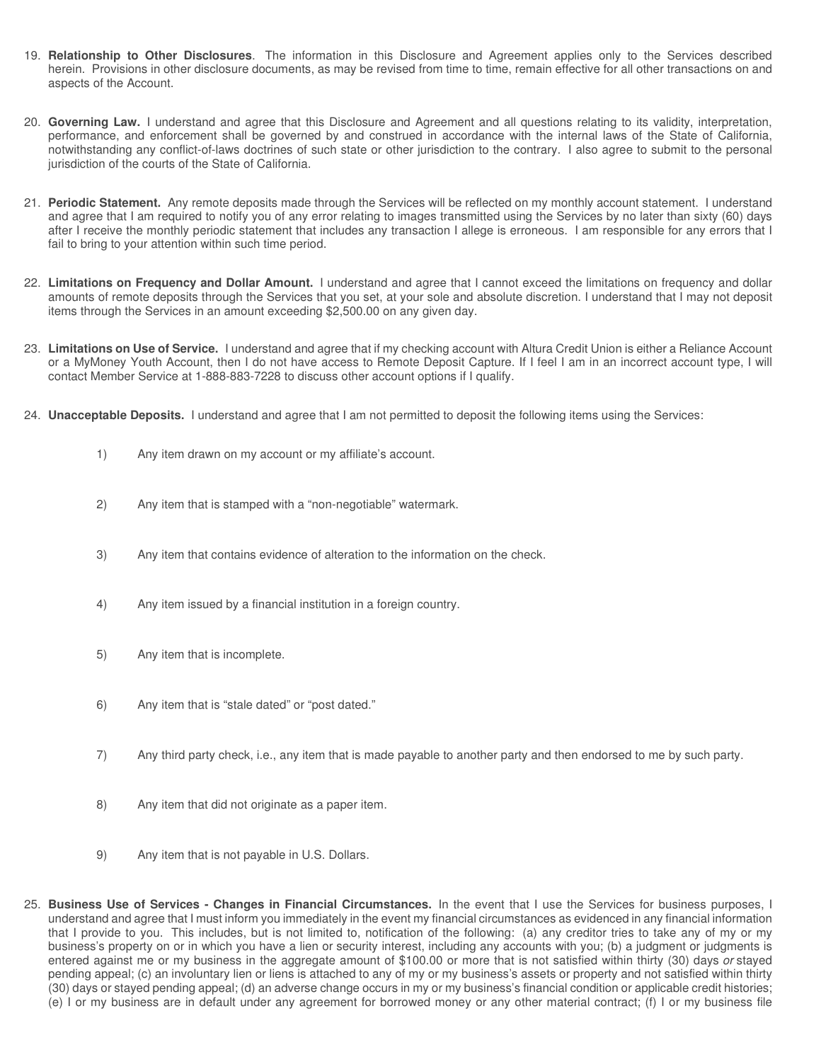- 19. **Relationship to Other Disclosures**. The information in this Disclosure and Agreement applies only to the Services described herein. Provisions in other disclosure documents, as may be revised from time to time, remain effective for all other transactions on and aspects of the Account.
- 20. **Governing Law.** I understand and agree that this Disclosure and Agreement and all questions relating to its validity, interpretation, performance, and enforcement shall be governed by and construed in accordance with the internal laws of the State of California, notwithstanding any conflict-of-laws doctrines of such state or other jurisdiction to the contrary. I also agree to submit to the personal jurisdiction of the courts of the State of California.
- 21. **Periodic Statement.** Any remote deposits made through the Services will be reflected on my monthly account statement. I understand and agree that I am required to notify you of any error relating to images transmitted using the Services by no later than sixty (60) days after I receive the monthly periodic statement that includes any transaction I allege is erroneous. I am responsible for any errors that I fail to bring to your attention within such time period.
- 22. **Limitations on Frequency and Dollar Amount.** I understand and agree that I cannot exceed the limitations on frequency and dollar amounts of remote deposits through the Services that you set, at your sole and absolute discretion. I understand that I may not deposit items through the Services in an amount exceeding \$2,500.00 on any given day.
- 23. **Limitations on Use of Service.** I understand and agree that if my checking account with Altura Credit Union is either a Reliance Account or a MyMoney Youth Account, then I do not have access to Remote Deposit Capture. If I feel I am in an incorrect account type, I will contact Member Service at 1-888-883-7228 to discuss other account options if I qualify.
- 24. **Unacceptable Deposits.** I understand and agree that I am not permitted to deposit the following items using the Services:
	- 1) Any item drawn on my account or my affiliate's account.
	- 2) Any item that is stamped with a "non-negotiable" watermark.
	- 3) Any item that contains evidence of alteration to the information on the check.
	- 4) Any item issued by a financial institution in a foreign country.
	- 5) Any item that is incomplete.
	- 6) Any item that is "stale dated" or "post dated."
	- 7) Any third party check, i.e., any item that is made payable to another party and then endorsed to me by such party.
	- 8) Any item that did not originate as a paper item.
	- 9) Any item that is not payable in U.S. Dollars.
- 25. **Business Use of Services Changes in Financial Circumstances.** In the event that I use the Services for business purposes, I understand and agree that I must inform you immediately in the event my financial circumstances as evidenced in any financial information that I provide to you. This includes, but is not limited to, notification of the following: (a) any creditor tries to take any of my or my business's property on or in which you have a lien or security interest, including any accounts with you; (b) a judgment or judgments is entered against me or my business in the aggregate amount of \$100.00 or more that is not satisfied within thirty (30) days or stayed pending appeal; (c) an involuntary lien or liens is attached to any of my or my business's assets or property and not satisfied within thirty (30) days or stayed pending appeal; (d) an adverse change occurs in my or my business's financial condition or applicable credit histories; (e) I or my business are in default under any agreement for borrowed money or any other material contract; (f) I or my business file